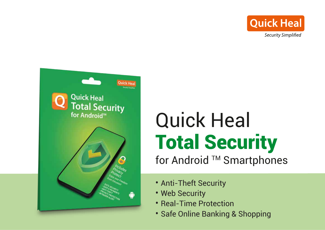



# Quick Heal Total Security for Android ™ Smartphones

- Anti-Theft Security
- Web Security
- Real-Time Protection
- Safe Online Banking & Shopping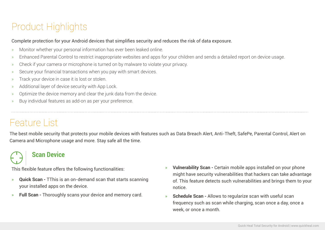# Product Highlights

#### Complete protection for your Android devices that simplifies security and reduces the risk of data exposure.

- » Monitor whether your personal information has ever been leaked online.
- » Enhanced Parental Control to restrict inappropriate websites and apps for your children and sends a detailed report on device usage.
- » Check if your camera or microphone is turned on by malware to violate your privacy.
- Secure your financial transactions when you pay with smart devices.
- » Track your device in case it is lost or stolen.
- » Additional layer of device security with App Lock.
- » Optimize the device memory and clear the junk data from the device.
- » Buy individual features as add-on as per your preference.

# Feature List

The best mobile security that protects your mobile devices with features such as Data Breach Alert, Anti-Theft, SafePe, Parental Control, Alert on Camera and Microphone usage and more. Stay safe all the time.

### **Scan Device**

This flexible feature offers the following functionalities:

- » **Quick Scan** TThis is an on-demand scan that starts scanning your installed apps on the device.
- » **Full Scan** Thoroughly scans your device and memory card.
- » **Vulnerability Scan** Certain mobile apps installed on your phone might have security vulnerabilities that hackers can take advantage of. This feature detects such vulnerabilities and brings them to your notice.
- » **Schedule Scan** Allows to regularize scan with useful scan frequency such as scan while charging, scan once a day, once a week, or once a month.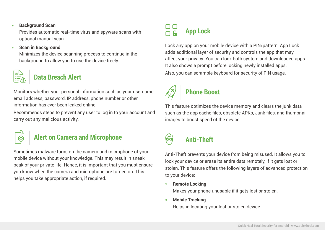#### » **Background Scan**

Provides automatic real-time virus and spyware scans with optional manual scan.

#### » **Scan in Background**

Minimizes the device scanning process to continue in the background to allow you to use the device freely.

### **Data Breach Alert**

Monitors whether your personal information such as your username, email address, password, IP address, phone number or other information has ever been leaked online.

Recommends steps to prevent any user to log in to your account and carry out any malicious activity.

### **Alert on Camera and Microphone**

Sometimes malware turns on the camera and microphone of your mobile device without your knowledge. This may result in sneak peak of your private life. Hence, it is important that you must ensure you know when the camera and microphone are turned on. This helps you take appropriate action, if required.

# **App Lock**

Lock any app on your mobile device with a PIN/pattern. App Lock adds additional layer of security and controls the app that may affect your privacy. You can lock both system and downloaded apps. It also shows a prompt before locking newly installed apps. Also, you can scramble keyboard for security of PIN usage.

# **Phone Boost**

This feature optimizes the device memory and clears the junk data such as the app cache files, obsolete APKs, Junk files, and thumbnail images to boost speed of the device.

# **Anti-Theft**

Anti-Theft prevents your device from being misused. It allows you to lock your device or erase its entire data remotely, if it gets lost or stolen. This feature offers the following layers of advanced protection to your device:

» **Remote Locking**

Makes your phone unusable if it gets lost or stolen.

» **Mobile Tracking**

Helps in locating your lost or stolen device.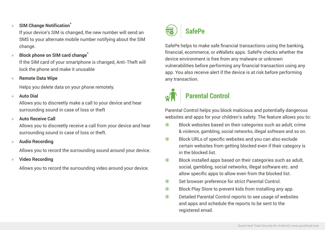#### » **SIM Change Notification\***

If your device's SIM is changed, the new number will send an SMS to your alternate mobile number notifying about the SIM change.

#### » **Block phone on SIM card change\***

If the SIM card of your smartphone is changed, Anti-Theft will lock the phone and make it unusable

» **Remote Data Wipe**

Helps you delete data on your phone remotely.

#### » **Auto Dial**

Allows you to discreetly make a call to your device and hear surrounding sound in case of loss or theft

#### » **Auto Receive Call**

Allows you to discreetly receive a call from your device and hear surrounding sound in case of loss or theft.

» **Audio Recording**

Allows you to record the surrounding sound around your device.

» **Video Recording**

Allows you to record the surrounding video around your device.



SafePe helps to make safe financial transactions using the banking, financial, ecommerce, or eWallets apps. SafePe checks whether the device environment is free from any malware or unknown vulnerabilities before performing any financial transaction using any app. You also receive alert if the device is at risk before performing any transaction.



### **Parental Control**

Parental Control helps you block malicious and potentially dangerous websites and apps for your children's safety. The feature allows you to:

- Block websites based on their categories such as adult, crime & violence, gambling, social networks, illegal software and so on.
- Block URLs of specific websites and you can also exclude certain websites from getting blocked even if their category is in the blocked list.
- Block installed apps based on their categories such as adult, social, gambling, social networks, illegal software etc. and allow specific apps to allow even from the blocked list.
- $\odot$  Set browser preference for strict Parental Control.
- Block Play Store to prevent kids from installing any app.
- Detailed Parental Control reports to see usage of websites and apps and schedule the reports to be sent to the registered email.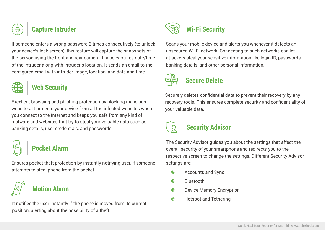

### **Capture Intruder**

If someone enters a wrong password 2 times consecutively (to unlock your device's lock screen), this feature will capture the snapshots of the person using the front and rear camera. It also captures date/time of the intruder along with intruder's location. It sends an email to the configured email with intruder image, location, and date and time.



### **Web Security**

Excellent browsing and phishing protection by blocking malicious websites. It protects your device from all the infected websites when you connect to the Internet and keeps you safe from any kind of malware and websites that try to steal your valuable data such as banking details, user credentials, and passwords.

## **Pocket Alarm**

Ensures pocket theft protection by instantly notifying user, if someone attempts to steal phone from the pocket *Accounts and Sync***ounts and Syncounts and Syncounts and Syncounts and Syncounts and Syncounts and Syncounts and Syncounts and Syncounts and Syncounts and Syncounts and Syncounts a** 

## **Motion Alarm**

It notifies the user instantly if the phone is moved from its current position, alerting about the possibility of a theft.



Scans your mobile device and alerts you whenever it detects an unsecured Wi-Fi network. Connecting to such networks can let attackers steal your sensitive information like login ID, passwords, banking details, and other personal information.



## **Secure Delete**

Securely deletes confidential data to prevent their recovery by any recovery tools. This ensures complete security and confidentiality of your valuable data.

# **Security Advisor**

The Security Advisor guides you about the settings that affect the overall security of your smartphone and redirects you to the respective screen to change the settings. Different Security Advisor settings are:

- 
- Bluetooth
- **Device Memory Encryption**
- **Hotspot and Tethering**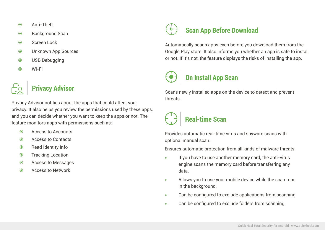- Anti-Theft
- $\odot$  Background Scan
- Screen Lock
- Unknown App Sources
- USB Debugging
- Wi-Fi



### **Privacy Advisor**

Privacy Advisor notifies about the apps that could affect your privacy. It also helps you review the permissions used by these apps, and you can decide whether you want to keep the apps or not. The feature monitors apps with permissions such as:

- Access to Accounts
- Access to Contacts
- Read Identity Info
- **Tracking Location**
- Access to Messages
- Access to Network



Automatically scans apps even before you download them from the Google Play store. It also informs you whether an app is safe to install or not. If it's not, the feature displays the risks of installing the app.

# **On Install App Scan**

Scans newly installed apps on the device to detect and prevent threats.



Provides automatic real-time virus and spyware scans with optional manual scan.

Ensures automatic protection from all kinds of malware threats.

- » If you have to use another memory card, the anti-virus engine scans the memory card before transferring any data.
- » Allows you to use your mobile device while the scan runs in the background.
- » Can be configured to exclude applications from scanning.
- » Can be configured to exclude folders from scanning.